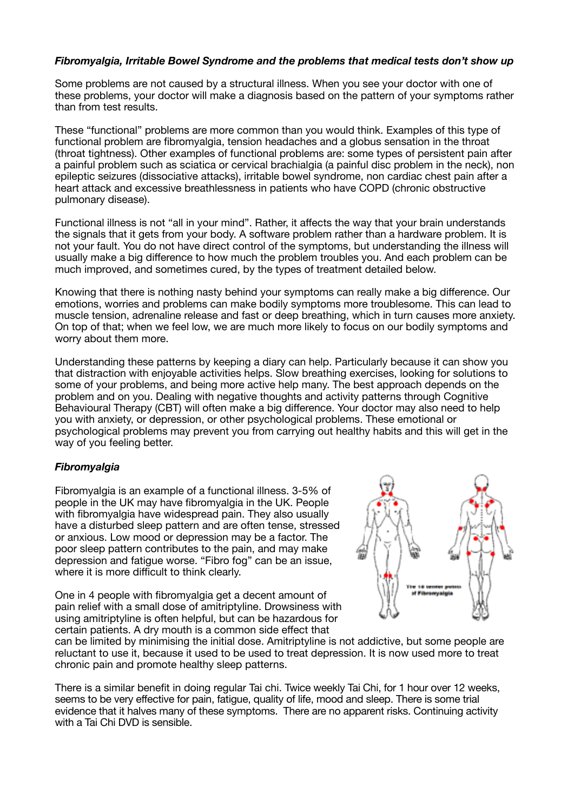## *Fibromyalgia, Irritable Bowel Syndrome and the problems that medical tests don't show up*

Some problems are not caused by a structural illness. When you see your doctor with one of these problems, your doctor will make a diagnosis based on the pattern of your symptoms rather than from test results.

These "functional" problems are more common than you would think. Examples of this type of functional problem are fibromyalgia, tension headaches and a globus sensation in the throat (throat tightness). Other examples of functional problems are: some types of persistent pain after a painful problem such as sciatica or cervical brachialgia (a painful disc problem in the neck), non epileptic seizures (dissociative attacks), irritable bowel syndrome, non cardiac chest pain after a heart attack and excessive breathlessness in patients who have COPD (chronic obstructive pulmonary disease).

Functional illness is not "all in your mind". Rather, it affects the way that your brain understands the signals that it gets from your body. A software problem rather than a hardware problem. It is not your fault. You do not have direct control of the symptoms, but understanding the illness will usually make a big difference to how much the problem troubles you. And each problem can be much improved, and sometimes cured, by the types of treatment detailed below.

Knowing that there is nothing nasty behind your symptoms can really make a big difference. Our emotions, worries and problems can make bodily symptoms more troublesome. This can lead to muscle tension, adrenaline release and fast or deep breathing, which in turn causes more anxiety. On top of that; when we feel low, we are much more likely to focus on our bodily symptoms and worry about them more.

Understanding these patterns by keeping a diary can help. Particularly because it can show you that distraction with enjoyable activities helps. Slow breathing exercises, looking for solutions to some of your problems, and being more active help many. The best approach depends on the problem and on you. Dealing with negative thoughts and activity patterns through Cognitive Behavioural Therapy (CBT) will often make a big difference. Your doctor may also need to help you with anxiety, or depression, or other psychological problems. These emotional or psychological problems may prevent you from carrying out healthy habits and this will get in the way of you feeling better.

## *Fibromyalgia*

Fibromyalgia is an example of a functional illness. 3-5% of people in the UK may have fibromyalgia in the UK. People with fibromvalgia have widespread pain. They also usually have a disturbed sleep pattern and are often tense, stressed or anxious. Low mood or depression may be a factor. The poor sleep pattern contributes to the pain, and may make depression and fatigue worse. "Fibro fog" can be an issue, where it is more difficult to think clearly.

One in 4 people with fibromyalgia get a decent amount of pain relief with a small dose of amitriptyline. Drowsiness with using amitriptyline is often helpful, but can be hazardous for certain patients. A dry mouth is a common side effect that



can be limited by minimising the initial dose. Amitriptyline is not addictive, but some people are reluctant to use it, because it used to be used to treat depression. It is now used more to treat chronic pain and promote healthy sleep patterns.

There is a similar benefit in doing regular Tai chi. Twice weekly Tai Chi, for 1 hour over 12 weeks, seems to be very effective for pain, fatigue, quality of life, mood and sleep. There is some trial evidence that it halves many of these symptoms. There are no apparent risks. Continuing activity with a Tai Chi DVD is sensible.